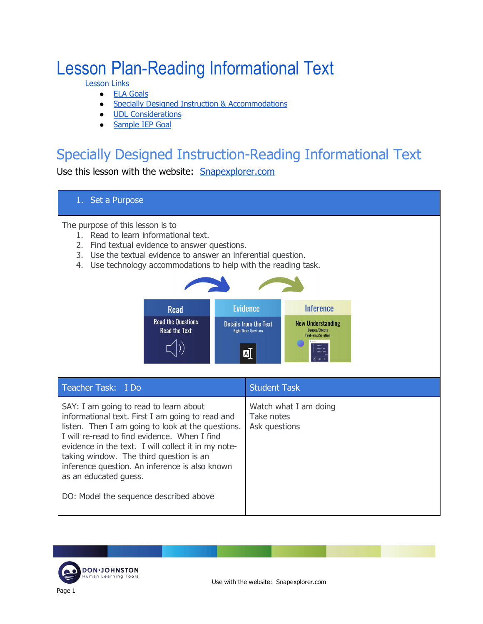# Lesson Plan-Reading Informational Text

Lesson Links

- ELA Goals
- Specially Designed Instruction & Accommodations
- UDL Considerations
- Sample IEP Goal

# Specially Designed Instruction-Reading Informational Text

Use this lesson with the website: Snapexplorer.com



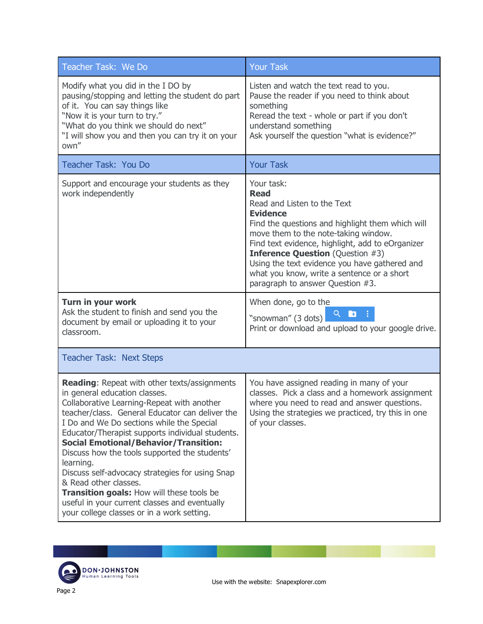| Teacher Task: We Do                                                                                                                                                                                                                                                                                                                                                                                                                                                                                                                                                                                                          | <b>Your Task</b>                                                                                                                                                                                                                                                                                                                                                                                          |
|------------------------------------------------------------------------------------------------------------------------------------------------------------------------------------------------------------------------------------------------------------------------------------------------------------------------------------------------------------------------------------------------------------------------------------------------------------------------------------------------------------------------------------------------------------------------------------------------------------------------------|-----------------------------------------------------------------------------------------------------------------------------------------------------------------------------------------------------------------------------------------------------------------------------------------------------------------------------------------------------------------------------------------------------------|
| Modify what you did in the I DO by<br>pausing/stopping and letting the student do part<br>of it. You can say things like<br>"Now it is your turn to try."<br>"What do you think we should do next"<br>"I will show you and then you can try it on your<br>own"                                                                                                                                                                                                                                                                                                                                                               | Listen and watch the text read to you.<br>Pause the reader if you need to think about<br>something<br>Reread the text - whole or part if you don't<br>understand something<br>Ask yourself the question "what is evidence?"                                                                                                                                                                               |
| Teacher Task: You Do                                                                                                                                                                                                                                                                                                                                                                                                                                                                                                                                                                                                         | <b>Your Task</b>                                                                                                                                                                                                                                                                                                                                                                                          |
| Support and encourage your students as they<br>work independently                                                                                                                                                                                                                                                                                                                                                                                                                                                                                                                                                            | Your task:<br><b>Read</b><br>Read and Listen to the Text<br><b>Evidence</b><br>Find the questions and highlight them which will<br>move them to the note-taking window.<br>Find text evidence, highlight, add to eOrganizer<br><b>Inference Question</b> (Question #3)<br>Using the text evidence you have gathered and<br>what you know, write a sentence or a short<br>paragraph to answer Question #3. |
| Turn in your work<br>Ask the student to finish and send you the<br>document by email or uploading it to your<br>classroom.                                                                                                                                                                                                                                                                                                                                                                                                                                                                                                   | When done, go to the<br>$Q_{\rm{max}}$<br>"snowman" (3 dots)<br>Print or download and upload to your google drive.                                                                                                                                                                                                                                                                                        |
| <b>Teacher Task: Next Steps</b>                                                                                                                                                                                                                                                                                                                                                                                                                                                                                                                                                                                              |                                                                                                                                                                                                                                                                                                                                                                                                           |
| <b>Reading: Repeat with other texts/assignments</b><br>in general education classes.<br>Collaborative Learning-Repeat with another<br>teacher/class. General Educator can deliver the<br>I Do and We Do sections while the Special<br>Educator/Therapist supports individual students.<br><b>Social Emotional/Behavior/Transition:</b><br>Discuss how the tools supported the students'<br>learning.<br>Discuss self-advocacy strategies for using Snap<br>& Read other classes.<br>Transition goals: How will these tools be<br>useful in your current classes and eventually<br>your college classes or in a work setting. | You have assigned reading in many of your<br>classes. Pick a class and a homework assignment<br>where you need to read and answer questions.<br>Using the strategies we practiced, try this in one<br>of your classes.                                                                                                                                                                                    |

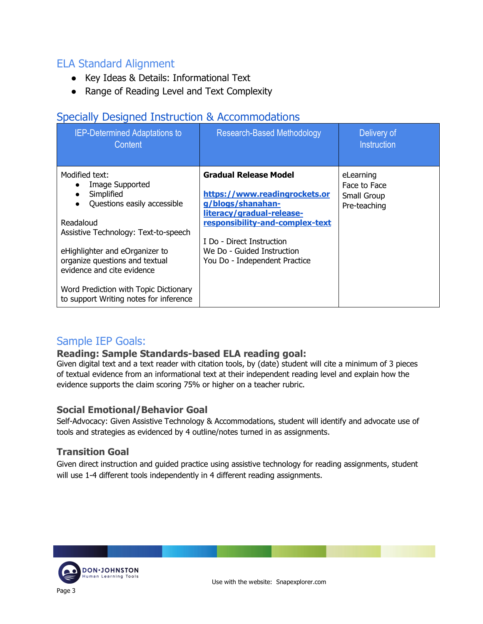## ELA Standard Alignment

- Key Ideas & Details: Informational Text
- Range of Reading Level and Text Complexity

## Specially Designed Instruction & Accommodations

| <b>IEP-Determined Adaptations to</b><br>Content                                                                                                                                                                                                                                                                          | <b>Research-Based Methodology</b>                                                                                                                                                                                                              | Delivery of<br><b>Instruction</b>                        |
|--------------------------------------------------------------------------------------------------------------------------------------------------------------------------------------------------------------------------------------------------------------------------------------------------------------------------|------------------------------------------------------------------------------------------------------------------------------------------------------------------------------------------------------------------------------------------------|----------------------------------------------------------|
| Modified text:<br>Image Supported<br>Simplified<br>Questions easily accessible<br>Readaloud<br>Assistive Technology: Text-to-speech<br>eHighlighter and eOrganizer to<br>organize questions and textual<br>evidence and cite evidence<br>Word Prediction with Topic Dictionary<br>to support Writing notes for inference | <b>Gradual Release Model</b><br>https://www.readingrockets.or<br>g/blogs/shanahan-<br>literacy/gradual-release-<br>responsibility-and-complex-text<br>I Do - Direct Instruction<br>We Do - Guided Instruction<br>You Do - Independent Practice | eLearning<br>Face to Face<br>Small Group<br>Pre-teaching |

### Sample IEP Goals:

#### **Reading: Sample Standards-based ELA reading goal:**

Given digital text and a text reader with citation tools, by (date) student will cite a minimum of 3 pieces of textual evidence from an informational text at their independent reading level and explain how the evidence supports the claim scoring 75% or higher on a teacher rubric.

#### **Social Emotional/Behavior Goal**

Self-Advocacy: Given Assistive Technology & Accommodations, student will identify and advocate use of tools and strategies as evidenced by 4 outline/notes turned in as assignments.

#### **Transition Goal**

Given direct instruction and guided practice using assistive technology for reading assignments, student will use 1-4 different tools independently in 4 different reading assignments.